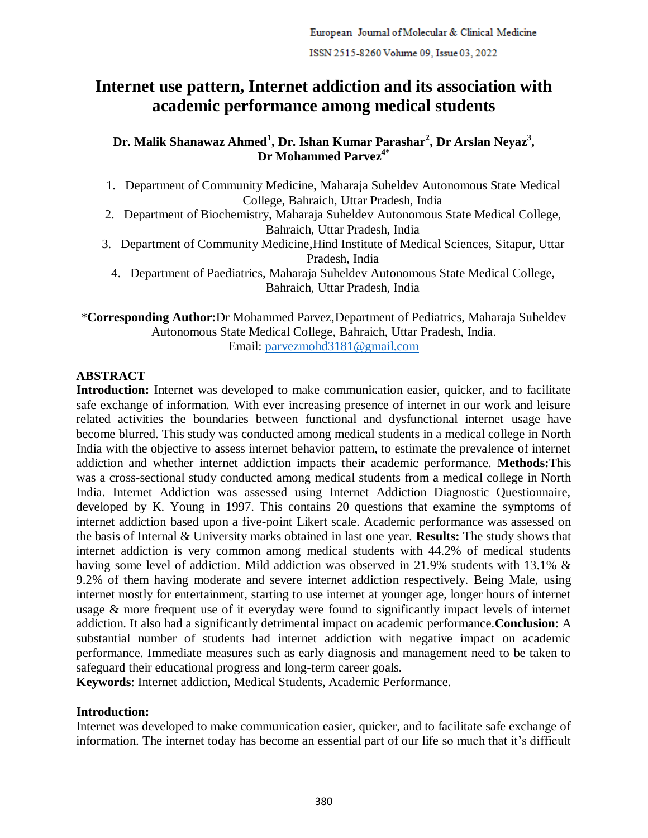# **Internet use pattern, Internet addiction and its association with academic performance among medical students**

# **Dr. Malik Shanawaz Ahmed<sup>1</sup> , Dr. Ishan Kumar Parashar<sup>2</sup> , Dr Arslan Neyaz<sup>3</sup> , Dr Mohammed Parvez4\***

- 1. Department of Community Medicine, Maharaja Suheldev Autonomous State Medical College, Bahraich, Uttar Pradesh, India
- 2. Department of Biochemistry, Maharaja Suheldev Autonomous State Medical College, Bahraich, Uttar Pradesh, India
- 3. Department of Community Medicine,Hind Institute of Medical Sciences, Sitapur, Uttar Pradesh, India
	- 4. Department of Paediatrics, Maharaja Suheldev Autonomous State Medical College, Bahraich, Uttar Pradesh, India

\***Corresponding Author:**Dr Mohammed Parvez,Department of Pediatrics, Maharaja Suheldev Autonomous State Medical College, Bahraich, Uttar Pradesh, India. Email: [parvezmohd3181@gmail.com](mailto:parvezmohd3181@gmail.com)

# **ABSTRACT**

**Introduction:** Internet was developed to make communication easier, quicker, and to facilitate safe exchange of information. With ever increasing presence of internet in our work and leisure related activities the boundaries between functional and dysfunctional internet usage have become blurred. This study was conducted among medical students in a medical college in North India with the objective to assess internet behavior pattern, to estimate the prevalence of internet addiction and whether internet addiction impacts their academic performance. **Methods:**This was a cross-sectional study conducted among medical students from a medical college in North India. Internet Addiction was assessed using Internet Addiction Diagnostic Questionnaire, developed by K. Young in 1997. This contains 20 questions that examine the symptoms of internet addiction based upon a five-point Likert scale. Academic performance was assessed on the basis of Internal & University marks obtained in last one year. **Results:** The study shows that internet addiction is very common among medical students with 44.2% of medical students having some level of addiction. Mild addiction was observed in 21.9% students with 13.1% & 9.2% of them having moderate and severe internet addiction respectively. Being Male, using internet mostly for entertainment, starting to use internet at younger age, longer hours of internet usage & more frequent use of it everyday were found to significantly impact levels of internet addiction. It also had a significantly detrimental impact on academic performance.**Conclusion**: A substantial number of students had internet addiction with negative impact on academic performance. Immediate measures such as early diagnosis and management need to be taken to safeguard their educational progress and long-term career goals.

**Keywords**: Internet addiction, Medical Students, Academic Performance.

### **Introduction:**

Internet was developed to make communication easier, quicker, and to facilitate safe exchange of information. The internet today has become an essential part of our life so much that it's difficult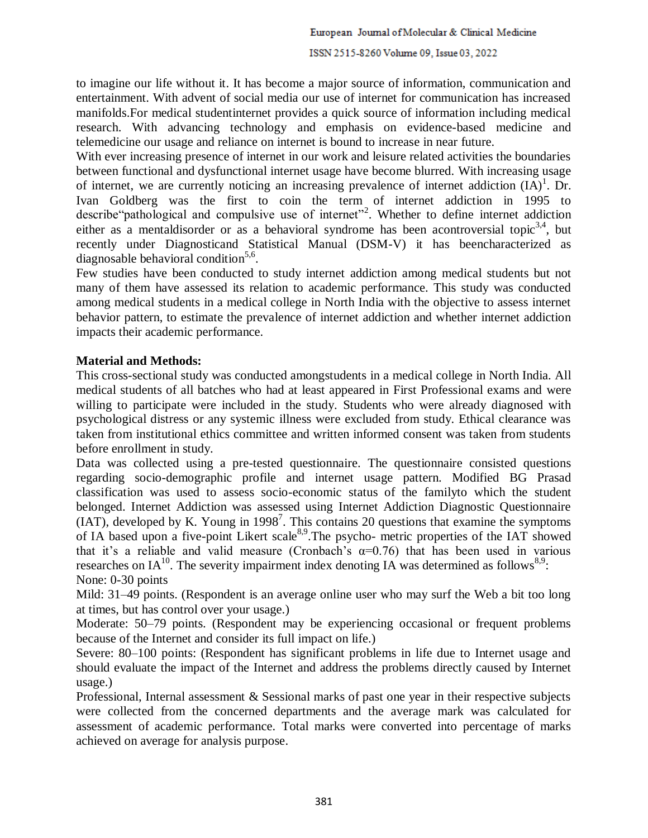#### ISSN 2515-8260 Volume 09, Issue 03, 2022

to imagine our life without it. It has become a major source of information, communication and entertainment. With advent of social media our use of internet for communication has increased manifolds.For medical studentinternet provides a quick source of information including medical research. With advancing technology and emphasis on evidence-based medicine and telemedicine our usage and reliance on internet is bound to increase in near future.

With ever increasing presence of internet in our work and leisure related activities the boundaries between functional and dysfunctional internet usage have become blurred. With increasing usage of internet, we are currently noticing an increasing prevalence of internet addiction  $(IA)^1$ . Dr. Ivan Goldberg was the first to coin the term of internet addiction in 1995 to describe "pathological and compulsive use of internet"<sup>2</sup>. Whether to define internet addiction either as a mentaldisorder or as a behavioral syndrome has been acontroversial topic<sup>3,4</sup>, but recently under Diagnosticand Statistical Manual (DSM-V) it has beencharacterized as diagnosable behavioral condition<sup>5,6</sup>.

Few studies have been conducted to study internet addiction among medical students but not many of them have assessed its relation to academic performance. This study was conducted among medical students in a medical college in North India with the objective to assess internet behavior pattern, to estimate the prevalence of internet addiction and whether internet addiction impacts their academic performance.

### **Material and Methods:**

This cross-sectional study was conducted amongstudents in a medical college in North India. All medical students of all batches who had at least appeared in First Professional exams and were willing to participate were included in the study. Students who were already diagnosed with psychological distress or any systemic illness were excluded from study. Ethical clearance was taken from institutional ethics committee and written informed consent was taken from students before enrollment in study.

Data was collected using a pre-tested questionnaire. The questionnaire consisted questions regarding socio-demographic profile and internet usage pattern. Modified BG Prasad classification was used to assess socio-economic status of the familyto which the student belonged. Internet Addiction was assessed using Internet Addiction Diagnostic Questionnaire  $(IAT)$ , developed by K. Young in 1998<sup>7</sup>. This contains 20 questions that examine the symptoms of IA based upon a five-point Likert scale<sup>8,9</sup>. The psycho- metric properties of the IAT showed that it's a reliable and valid measure (Cronbach's  $\alpha=0.76$ ) that has been used in various researches on IA<sup>10</sup>. The severity impairment index denoting IA was determined as follows<sup>8,9</sup>: None: 0-30 points

Mild: 31–49 points. (Respondent is an average online user who may surf the Web a bit too long at times, but has control over your usage.)

Moderate: 50–79 points. (Respondent may be experiencing occasional or frequent problems because of the Internet and consider its full impact on life.)

Severe: 80–100 points: (Respondent has significant problems in life due to Internet usage and should evaluate the impact of the Internet and address the problems directly caused by Internet usage.)

Professional, Internal assessment & Sessional marks of past one year in their respective subjects were collected from the concerned departments and the average mark was calculated for assessment of academic performance. Total marks were converted into percentage of marks achieved on average for analysis purpose.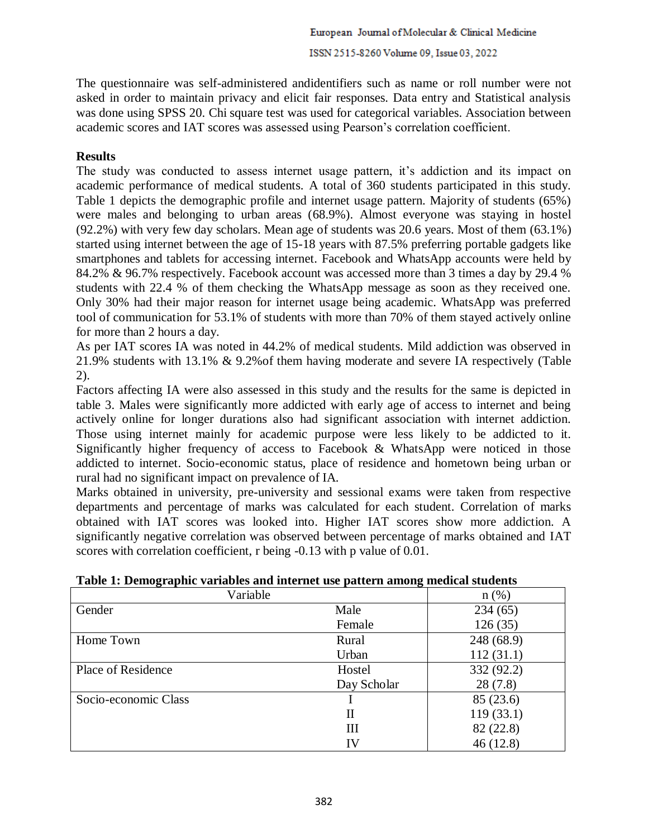#### ISSN 2515-8260 Volume 09, Issue 03, 2022

The questionnaire was self-administered andidentifiers such as name or roll number were not asked in order to maintain privacy and elicit fair responses. Data entry and Statistical analysis was done using SPSS 20. Chi square test was used for categorical variables. Association between academic scores and IAT scores was assessed using Pearson's correlation coefficient.

### **Results**

The study was conducted to assess internet usage pattern, it's addiction and its impact on academic performance of medical students. A total of 360 students participated in this study. Table 1 depicts the demographic profile and internet usage pattern. Majority of students (65%) were males and belonging to urban areas (68.9%). Almost everyone was staying in hostel (92.2%) with very few day scholars. Mean age of students was 20.6 years. Most of them (63.1%) started using internet between the age of 15-18 years with 87.5% preferring portable gadgets like smartphones and tablets for accessing internet. Facebook and WhatsApp accounts were held by 84.2% & 96.7% respectively. Facebook account was accessed more than 3 times a day by 29.4 % students with 22.4 % of them checking the WhatsApp message as soon as they received one. Only 30% had their major reason for internet usage being academic. WhatsApp was preferred tool of communication for 53.1% of students with more than 70% of them stayed actively online for more than 2 hours a day.

As per IAT scores IA was noted in 44.2% of medical students. Mild addiction was observed in 21.9% students with 13.1% & 9.2%of them having moderate and severe IA respectively (Table 2).

Factors affecting IA were also assessed in this study and the results for the same is depicted in table 3. Males were significantly more addicted with early age of access to internet and being actively online for longer durations also had significant association with internet addiction. Those using internet mainly for academic purpose were less likely to be addicted to it. Significantly higher frequency of access to Facebook & WhatsApp were noticed in those addicted to internet. Socio-economic status, place of residence and hometown being urban or rural had no significant impact on prevalence of IA.

Marks obtained in university, pre-university and sessional exams were taken from respective departments and percentage of marks was calculated for each student. Correlation of marks obtained with IAT scores was looked into. Higher IAT scores show more addiction. A significantly negative correlation was observed between percentage of marks obtained and IAT scores with correlation coefficient, r being -0.13 with p value of 0.01.

| $\mathbf{\sigma}$<br>0<br>Variable |             | n(%        |
|------------------------------------|-------------|------------|
| Gender                             | Male        | 234(65)    |
|                                    | Female      | 126(35)    |
| Home Town                          | Rural       | 248 (68.9) |
|                                    | Urban       | 112(31.1)  |
| Place of Residence                 | Hostel      | 332 (92.2) |
|                                    | Day Scholar | 28(7.8)    |
| Socio-economic Class               |             | 85 (23.6)  |
|                                    | П           | 119(33.1)  |
|                                    | Ш           | 82 (22.8)  |
|                                    | IV          | 46 (12.8)  |

**Table 1: Demographic variables and internet use pattern among medical students**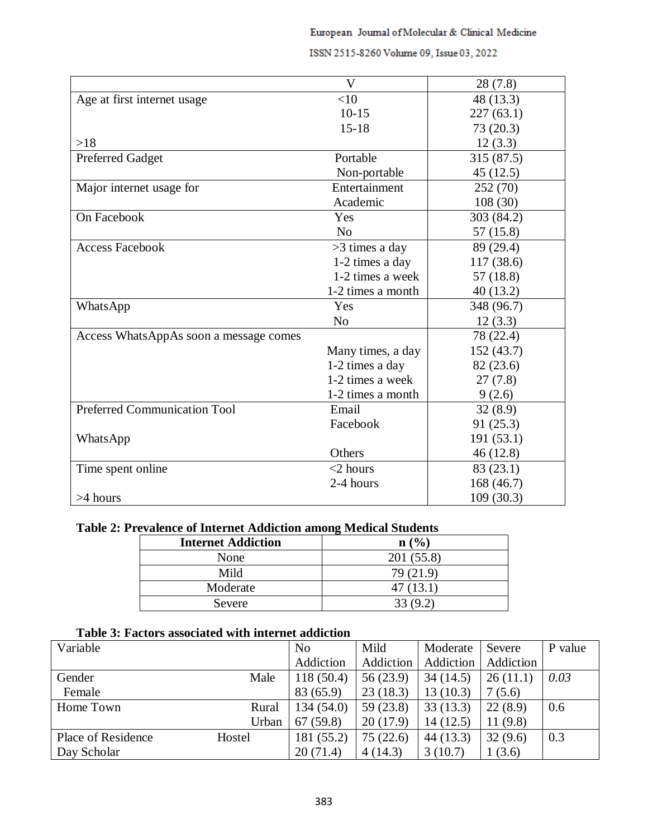|                                        | V                 | 28(7.8)    |
|----------------------------------------|-------------------|------------|
| Age at first internet usage            | $<$ 10            | 48 (13.3)  |
|                                        | $10 - 15$         | 227(63.1)  |
|                                        | $15 - 18$         | 73 (20.3)  |
| >18                                    |                   | 12(3.3)    |
| <b>Preferred Gadget</b>                | Portable          | 315 (87.5) |
|                                        | Non-portable      | 45(12.5)   |
| Major internet usage for               | Entertainment     | 252 (70)   |
|                                        | Academic          | 108(30)    |
| On Facebook                            | Yes               | 303 (84.2) |
|                                        | N <sub>0</sub>    | 57 (15.8)  |
| <b>Access Facebook</b>                 | >3 times a day    | 89 (29.4)  |
|                                        | 1-2 times a day   | 117 (38.6) |
|                                        | 1-2 times a week  | 57 (18.8)  |
|                                        | 1-2 times a month | 40(13.2)   |
| WhatsApp                               | Yes               | 348 (96.7) |
|                                        | N <sub>o</sub>    | 12(3.3)    |
| Access WhatsAppAs soon a message comes |                   | 78 (22.4)  |
|                                        | Many times, a day | 152 (43.7) |
|                                        | 1-2 times a day   | 82 (23.6)  |
|                                        | 1-2 times a week  | 27(7.8)    |
|                                        | 1-2 times a month | 9(2.6)     |
| Preferred Communication Tool           | Email             | 32(8.9)    |
|                                        | Facebook          | 91 (25.3)  |
| WhatsApp                               |                   | 191(53.1)  |
|                                        | Others            | 46(12.8)   |
| Time spent online                      | $<$ 2 hours       | 83(23.1)   |
|                                        | 2-4 hours         | 168 (46.7) |
| $>4$ hours                             |                   | 109(30.3)  |

## ISSN 2515-8260 Volume 09, Issue 03, 2022

# **Table 2: Prevalence of Internet Addiction among Medical Students**

| <b>Internet Addiction</b> | n (%)       |
|---------------------------|-------------|
| None                      | 201 (55.8)  |
| Mild                      | 79 (21.9)   |
| Moderate                  | 47(13.1)    |
| Severe                    | (9.2)<br>33 |

# **Table 3: Factors associated with internet addiction**

| Variable           |        | N <sub>o</sub> | Mild      | Moderate  | Severe    | P value |
|--------------------|--------|----------------|-----------|-----------|-----------|---------|
|                    |        | Addiction      | Addiction | Addiction | Addiction |         |
| Gender             | Male   | 118(50.4)      | 56 (23.9) | 34(14.5)  | 26(11.1)  | 0.03    |
| Female             |        | 83 (65.9)      | 23(18.3)  | 13(10.3)  | 7(5.6)    |         |
| Home Town          | Rural  | 134(54.0)      | 59(23.8)  | 33(13.3)  | 22(8.9)   | 0.6     |
|                    | Urban  | 67(59.8)       | 20(17.9)  | 14(12.5)  | 11(9.8)   |         |
| Place of Residence | Hostel | 181 (55.2)     | 75(22.6)  | 44(13.3)  | 32(9.6)   | 0.3     |
| Day Scholar        |        | 20(71.4)       | 4(14.3)   | 3(10.7)   | 1(3.6)    |         |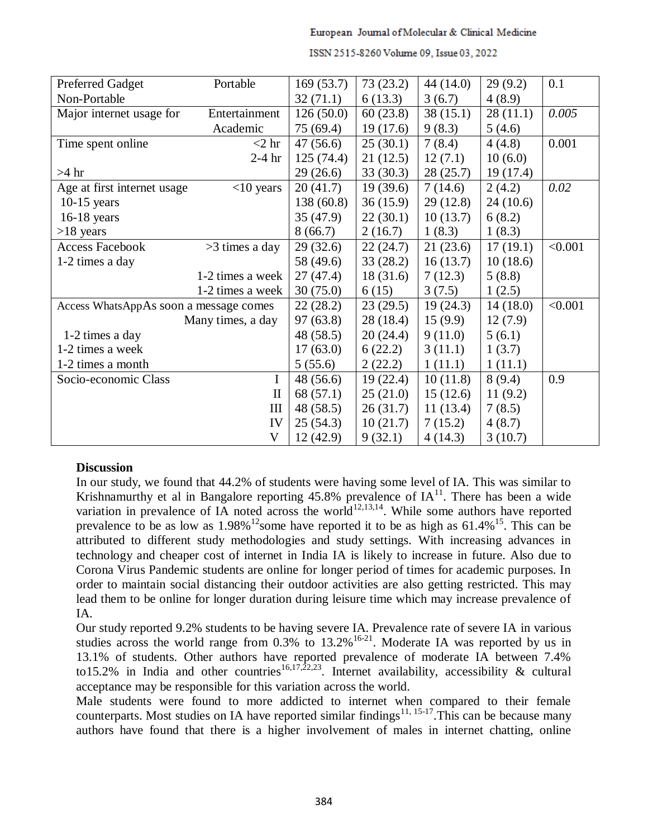#### European Journal of Molecular & Clinical Medicine

| <b>Preferred Gadget</b>                | Portable          | 169(53.7) | 73(23.2)  | 44 (14.0) | 29(9.2)  | 0.1     |
|----------------------------------------|-------------------|-----------|-----------|-----------|----------|---------|
| Non-Portable                           |                   | 32(71.1)  | 6(13.3)   | 3(6.7)    | 4(8.9)   |         |
| Major internet usage for               | Entertainment     | 126(50.0) | 60(23.8)  | 38(15.1)  | 28(11.1) | 0.005   |
|                                        | Academic          | 75 (69.4) | 19(17.6)  | 9(8.3)    | 5(4.6)   |         |
| Time spent online                      | $<$ 2 hr          | 47(56.6)  | 25(30.1)  | 7(8.4)    | 4(4.8)   | 0.001   |
|                                        | $2-4$ hr          | 125(74.4) | 21(12.5)  | 12(7.1)   | 10(6.0)  |         |
| $>4$ hr                                |                   | 29(26.6)  | 33(30.3)  | 28 (25.7) | 19(17.4) |         |
| Age at first internet usage            | $<$ 10 years      | 20(41.7)  | 19(39.6)  | 7(14.6)   | 2(4.2)   | 0.02    |
| $10-15$ years                          |                   | 138(60.8) | 36(15.9)  | 29(12.8)  | 24(10.6) |         |
| $16-18$ years                          |                   | 35(47.9)  | 22(30.1)  | 10(13.7)  | 6(8.2)   |         |
| $>18$ years                            |                   | 8(66.7)   | 2(16.7)   | 1(8.3)    | 1(8.3)   |         |
| <b>Access Facebook</b>                 | $>3$ times a day  | 29(32.6)  | 22(24.7)  | 21(23.6)  | 17(19.1) | < 0.001 |
| 1-2 times a day                        |                   | 58 (49.6) | 33(28.2)  | 16(13.7)  | 10(18.6) |         |
|                                        | 1-2 times a week  | 27(47.4)  | 18(31.6)  | 7(12.3)   | 5(8.8)   |         |
|                                        | 1-2 times a week  | 30(75.0)  | 6(15)     | 3(7.5)    | 1(2.5)   |         |
| Access WhatsAppAs soon a message comes |                   | 22(28.2)  | 23(29.5)  | 19(24.3)  | 14(18.0) | < 0.001 |
|                                        | Many times, a day | 97(63.8)  | 28 (18.4) | 15(9.9)   | 12(7.9)  |         |
| 1-2 times a day                        |                   | 48 (58.5) | 20(24.4)  | 9(11.0)   | 5(6.1)   |         |
| 1-2 times a week                       |                   | 17(63.0)  | 6(22.2)   | 3(11.1)   | 1(3.7)   |         |
| 1-2 times a month                      |                   | 5(55.6)   | 2(22.2)   | 1(11.1)   | 1(11.1)  |         |
| Socio-economic Class                   | $\bf{I}$          | 48(56.6)  | 19(22.4)  | 10(11.8)  | 8(9.4)   | 0.9     |
|                                        | $\mathbf{I}$      | 68 (57.1) | 25(21.0)  | 15(12.6)  | 11(9.2)  |         |
|                                        | III               | 48 (58.5) | 26(31.7)  | 11(13.4)  | 7(8.5)   |         |
|                                        | IV                | 25(54.3)  | 10(21.7)  | 7(15.2)   | 4(8.7)   |         |
|                                        | V                 | 12(42.9)  | 9(32.1)   | 4(14.3)   | 3(10.7)  |         |

#### ISSN 2515-8260 Volume 09, Issue 03, 2022

### **Discussion**

In our study, we found that 44.2% of students were having some level of IA. This was similar to Krishnamurthy et al in Bangalore reporting  $45.8\%$  prevalence of  $IA<sup>11</sup>$ . There has been a wide variation in prevalence of IA noted across the world<sup>12,13,14</sup>. While some authors have reported prevalence to be as low as  $1.98\%$ <sup>12</sup>some have reported it to be as high as  $61.4\%$ <sup>15</sup>. This can be attributed to different study methodologies and study settings. With increasing advances in technology and cheaper cost of internet in India IA is likely to increase in future. Also due to Corona Virus Pandemic students are online for longer period of times for academic purposes. In order to maintain social distancing their outdoor activities are also getting restricted. This may lead them to be online for longer duration during leisure time which may increase prevalence of IA.

Our study reported 9.2% students to be having severe IA. Prevalence rate of severe IA in various studies across the world range from  $0.3\%$  to  $13.2\%$ <sup>16-21</sup>. Moderate IA was reported by us in 13.1% of students. Other authors have reported prevalence of moderate IA between 7.4% to15.2% in India and other countries<sup>16,17,22,23</sup>. Internet availability, accessibility & cultural acceptance may be responsible for this variation across the world.

Male students were found to more addicted to internet when compared to their female counterparts. Most studies on IA have reported similar findings<sup>11, 15-17</sup>. This can be because many authors have found that there is a higher involvement of males in internet chatting, online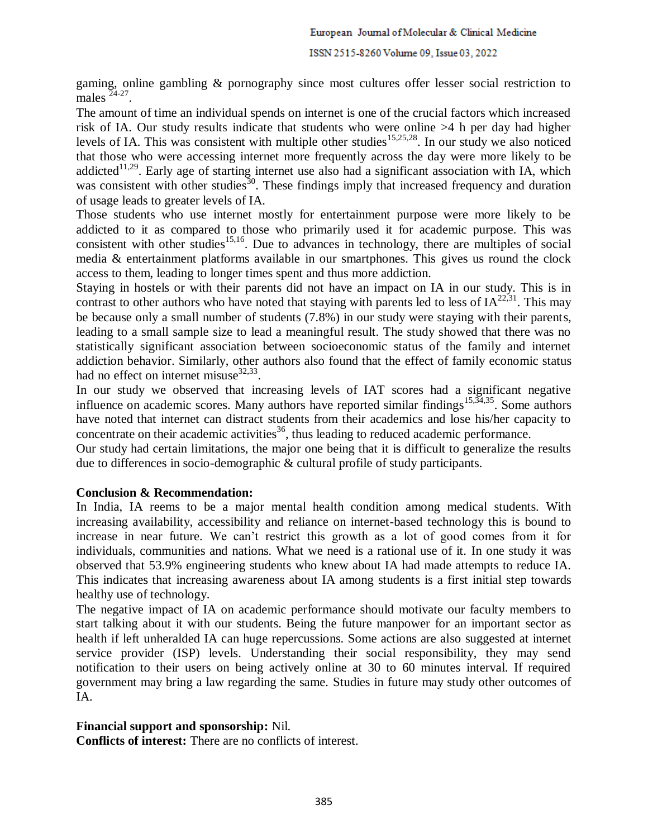gaming, online gambling & pornography since most cultures offer lesser social restriction to males  $24-27$ .

The amount of time an individual spends on internet is one of the crucial factors which increased risk of IA. Our study results indicate that students who were online >4 h per day had higher levels of IA. This was consistent with multiple other studies<sup>15,25,28</sup>. In our study we also noticed that those who were accessing internet more frequently across the day were more likely to be addicted<sup>11,29</sup>. Early age of starting internet use also had a significant association with IA, which was consistent with other studies<sup>30</sup>. These findings imply that increased frequency and duration of usage leads to greater levels of IA.

Those students who use internet mostly for entertainment purpose were more likely to be addicted to it as compared to those who primarily used it for academic purpose. This was consistent with other studies<sup>15,16</sup>. Due to advances in technology, there are multiples of social media & entertainment platforms available in our smartphones. This gives us round the clock access to them, leading to longer times spent and thus more addiction.

Staying in hostels or with their parents did not have an impact on IA in our study. This is in contrast to other authors who have noted that staying with parents led to less of  $IA^{22,31}$ . This may be because only a small number of students (7.8%) in our study were staying with their parents, leading to a small sample size to lead a meaningful result. The study showed that there was no statistically significant association between socioeconomic status of the family and internet addiction behavior. Similarly, other authors also found that the effect of family economic status had no effect on internet misuse $^{32,33}$ .

In our study we observed that increasing levels of IAT scores had a significant negative influence on academic scores. Many authors have reported similar findings<sup>15,34,35</sup>. Some authors have noted that internet can distract students from their academics and lose his/her capacity to concentrate on their academic activities<sup>36</sup>, thus leading to reduced academic performance.

Our study had certain limitations, the major one being that it is difficult to generalize the results due to differences in socio-demographic & cultural profile of study participants.

### **Conclusion & Recommendation:**

In India, IA reems to be a major mental health condition among medical students. With increasing availability, accessibility and reliance on internet-based technology this is bound to increase in near future. We can't restrict this growth as a lot of good comes from it for individuals, communities and nations. What we need is a rational use of it. In one study it was observed that 53.9% engineering students who knew about IA had made attempts to reduce IA. This indicates that increasing awareness about IA among students is a first initial step towards healthy use of technology.

The negative impact of IA on academic performance should motivate our faculty members to start talking about it with our students. Being the future manpower for an important sector as health if left unheralded IA can huge repercussions. Some actions are also suggested at internet service provider (ISP) levels. Understanding their social responsibility, they may send notification to their users on being actively online at 30 to 60 minutes interval. If required government may bring a law regarding the same. Studies in future may study other outcomes of IA.

### **Financial support and sponsorship:** Nil.

**Conflicts of interest:** There are no conflicts of interest.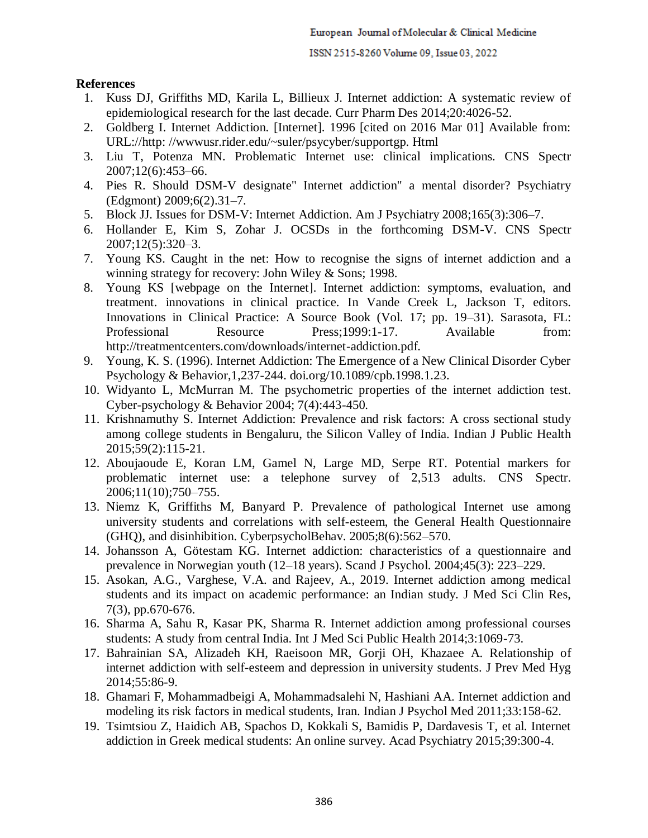### **References**

- 1. Kuss DJ, Griffiths MD, Karila L, Billieux J. Internet addiction: A systematic review of epidemiological research for the last decade. Curr Pharm Des 2014;20:4026-52.
- 2. Goldberg I. Internet Addiction. [Internet]. 1996 [cited on 2016 Mar 01] Available from: URL://http: //wwwusr.rider.edu/~suler/psycyber/supportgp. Html
- 3. Liu T, Potenza MN. Problematic Internet use: clinical implications. CNS Spectr 2007;12(6):453–66.
- 4. Pies R. Should DSM-V designate" Internet addiction" a mental disorder? Psychiatry (Edgmont) 2009;6(2).31–7.
- 5. Block JJ. Issues for DSM-V: Internet Addiction. Am J Psychiatry 2008;165(3):306–7.
- 6. Hollander E, Kim S, Zohar J. OCSDs in the forthcoming DSM-V. CNS Spectr 2007;12(5):320–3.
- 7. Young KS. Caught in the net: How to recognise the signs of internet addiction and a winning strategy for recovery: John Wiley & Sons; 1998.
- 8. Young KS [webpage on the Internet]. Internet addiction: symptoms, evaluation, and treatment. innovations in clinical practice. In Vande Creek L, Jackson T, editors. Innovations in Clinical Practice: A Source Book (Vol. 17; pp. 19–31). Sarasota, FL: Professional Resource Press;1999:1-17. Available from: http://treatmentcenters.com/downloads/internet-addiction.pdf.
- 9. Young, K. S. (1996). Internet Addiction: The Emergence of a New Clinical Disorder Cyber Psychology & Behavior,1,237-244. doi.org/10.1089/cpb.1998.1.23.
- 10. Widyanto L, McMurran M. The psychometric properties of the internet addiction test. Cyber-psychology & Behavior 2004; 7(4):443-450.
- 11. Krishnamuthy S. Internet Addiction: Prevalence and risk factors: A cross sectional study among college students in Bengaluru, the Silicon Valley of India. Indian J Public Health 2015;59(2):115-21.
- 12. Aboujaoude E, Koran LM, Gamel N, Large MD, Serpe RT. Potential markers for problematic internet use: a telephone survey of 2,513 adults. CNS Spectr. 2006;11(10);750–755.
- 13. Niemz K, Griffiths M, Banyard P. Prevalence of pathological Internet use among university students and correlations with self-esteem, the General Health Questionnaire (GHQ), and disinhibition. CyberpsycholBehav. 2005;8(6):562–570.
- 14. Johansson A, Götestam KG. Internet addiction: characteristics of a questionnaire and prevalence in Norwegian youth (12–18 years). Scand J Psychol. 2004;45(3): 223–229.
- 15. Asokan, A.G., Varghese, V.A. and Rajeev, A., 2019. Internet addiction among medical students and its impact on academic performance: an Indian study. J Med Sci Clin Res, 7(3), pp.670-676.
- 16. Sharma A, Sahu R, Kasar PK, Sharma R. Internet addiction among professional courses students: A study from central India. Int J Med Sci Public Health 2014;3:1069-73.
- 17. Bahrainian SA, Alizadeh KH, Raeisoon MR, Gorji OH, Khazaee A. Relationship of internet addiction with self-esteem and depression in university students. J Prev Med Hyg 2014;55:86-9.
- 18. Ghamari F, Mohammadbeigi A, Mohammadsalehi N, Hashiani AA. Internet addiction and modeling its risk factors in medical students, Iran. Indian J Psychol Med 2011;33:158-62.
- 19. Tsimtsiou Z, Haidich AB, Spachos D, Kokkali S, Bamidis P, Dardavesis T, et al. Internet addiction in Greek medical students: An online survey. Acad Psychiatry 2015;39:300-4.